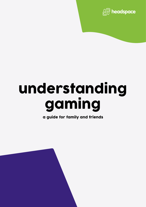

# understanding gaming

a guide for family and friends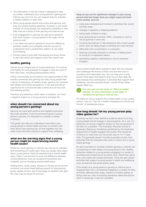- The information in this fact sheet is designed to help you better understand your young person's gaming and internet use and how you can support them to maintain a healthy balance in their lives.
- Most young people spend time online and gaming, and they are usually positive pastimes. However, a very small number of young people can experience problems in their daily lives as a result of their gaming and internet use.
- Over engagement in gaming can also be a symptom that other things in a young person's life might not be going so well.
- It can often be hard for parents to know the difference between healthy and unhealthy internet use and to understand when a problematic pattern of use might be emerging.
- Parents need to look after themselves and know where to get information and support when they need it too.

# healthy gaming

Games are an integral part of human behaviour. It is normal and healthy for young people to engage in play as a part of their daily lives, including playing games online.

Online communities are providing more opportunities to feel socially connected and gaming can help young people feel a sense of belonging. At healthy levels, gaming can increase self-esteem and social acceptance. It can also provide an opportunity for a structured daily routine and can be a fun and relaxing activity.

However, any behaviour, when taken to extreme, can have a negative impact on a young person's everyday life.

## when should I be concerned about my young person's gaming?

Gaming can have both positive and negative outcomes, like most activities. If you're concerned about a young person's gaming, it's important to consider a variety of factors.

This guide can help you understand more about your young person's mental health and how to connect with them about their gaming use, so that together you can make more informed choices to support their wellbeing.

### what are the warning signs that a young person might be experiencing mental health issues?

Whilst too much gaming or internet use may be an indicator that something isn't quite right, there are usually other signs that a young person might be experiencing a mental health issue. Often it can be hard to know the difference between normal behaviour, such as occasional moodiness and irritability, and an emerging mental health issue.

Feeling down, tense, angry, anxious or moody are all normal emotions, but when these feelings persist for long periods (some weeks) of time, and if they begin to interfere with daily life, they may be cause for concern.

**Keep an eye out for significant changes in your young person that last longer than you might expect (at least a few weeks), such as:**

- being less interested and involved in activities they would normally enjoy
- changes in appetite or sleeping patterns
- being easily irritated or angry
- their performance at school, TAFE, university or work is not as good as it once was
- involving themselves in risky behaviour they would usually avoid, such as taking drugs or drinking too much alcohol
- difficulties with concentration or motivation
- seeming unusually stressed or worried, or feeling down or crying for no apparent reason
- expressing negative, distressing or out-of-character thoughts.

Good mental health allows people to deal with the changes and challenges life throws at them and live their lives in a positive and meaningful way. You can help your young person think about the balance they have in their daily life and increase their participation in activities that support their wellbeing. Just like physical fitness, mental fitness takes regular effort too.

#### **You can read our fact sheet on "What is healthy gaming" for more information on the signs of troublesome gaming or internet use.**

For ideas on how to support the mental health of your young person, visit our "Tips for a healthy headspace for family and friends" at headspace.org.au.

# how long should I let my young person play video games for?

Currently we don't have definitive evidence about how long young people should engage in playing games. As a rule, if a behaviour is having a negative impact on the young person's life then it's a problem. The Australian Physical Activity & Sedentary Behaviour Guidelines (published by the Australian Department of Health) suggest that screen time should be limited to no more than two hours per day for 12-17 year olds. This generally doesn't include purposeful screen time (activities that are interactive like work or school and in some cases gaming).

It's also important to consider whether gaming or internet use is impacting on other areas of a young person's life. Healthy behaviour relates to a young person engaging in a variety of activities and contexts (such as family time, friend time, alone time, and inside and outside activities). There are also certain activities that support a young person's health and wellbeing, such as exercise and good quality sleep.

If the length of a young person's gaming or internet use is stopping them from consistently engaging in a variety of other activities, affecting their sleep, hygiene or healthy eating, or being used as a way of avoiding necessary tasks (like school work or studying), it may be a problem.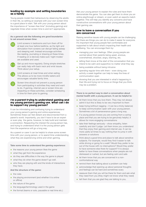# leading by example and setting boundaries as a family

Young people model their behaviours by observing the adults in their life, so setting an example with your own screen time is a good place to start. Talk with your young person about the importance of "screen-free time" (including gaming) and negotiate times when screen time is and isn't appropriate.

### **As a general rule the following are good boundaries to set around screen time:**



Limit screens in bedrooms and turn them off for at least one hour before bedtime, as the light and stimulation from screens can disrupt falling asleep and sleeping well. Instead encourage activities like reading, journaling or drawing at these times. If reading on e-devices make sure 'night modes' are available and used.

Get up and move regularly. Doing simple stretches can really help with back neck and wrist issues. Think about your setup.

Limit screens at meal times and when eating. This allows us to be more mindful eaters and encourages valuable family time.

Screen time should not prevent a young person from participating in activities they need and want to do. If gaming, internet use or screen time are impacting on these activities, consider scheduling in time for them prior to gaming.

# I'm a parent trying to understand gaming and my young person's gaming use. What can I do to support my young person?

It can be intimidating and confusing trying to understand your young person's gaming and online experiences. Sometimes these can feel distant and disconnected from a parent's world. Importantly, you don't have to be an expert or even play the game, however, to help build and maintain a connection. Respecting the interest the young person has, and trying to understand what it is the young person gets from the experience will go a long way.

As a parent or carer it can be helpful to share some screen time with your young person, or to spend time understanding what they are experiencing online and when gaming.

#### **Take some time to understand the gaming experience:**

- $\bullet$  the reasons your young person likes the game
- what they get from the experience
- do they see difficulties in the way the game is played
- what they do when the game doesn't go well.
- who they are playing with and the kinds of interactions they have.

#### **And the structure of the game:**

- the rules
- the playing environment (and whether it is online or offline)
- $\bullet$  the nature of the game
- the language/terminology used in the game
- the format (teams or solo, pausable or real time etc.)

Ask your young person to explain the rules and have them demonstrate the game. You can also get them to show you an online playthrough or stream, or even watch an esports match together. This will help you identify any concerns and have constructive conversations with your young person about their gaming use.

# how to have a conversation if you are concerned

Raising sensitive issues with young people can be challenging but there are things you can do to make it easier for everyone. It's important that young people feel comfortable and supported to talk about what's impacting their health and wellbeing. You can encourage them by:

- managing your own feelings. Often young people are worried about their parents being upset, anxious, overwhelmed, shocked, angry, blaming, etc.
- letting them know at the start of the conversation that you intend to be calm and supportive no matter what they say
- **•** being available without being intrusive
- spending regular time with them even doing one activity a week together can help to keep the lines of communication open
- showing that you are interested in what's happening in their life and trying not to focus on things that you think may be a problem.

### **There is no perfect way to start a conversation about mental health with a young person. It can be helpful to:**

- let them know that you love them. They may not always admit it but this is likely to be very important to them
- $\bullet$  keep trying (without nagging it can be a tricky balance) to keep communication open with your young person. Sometimes a bit of perseverance goes a long way.
- $\bullet$  if a young person knows you are coming from a caring place and that you are trying to be genuinely helpful, it allows for more engaging conversations
- $\bullet$  take their feelings seriously show empathy, listen carefully and don't judge. Let them know you understand that they enjoy their gaming and internet use. It can be more useful at times to say nothing than to jump in with answers or solutions
- think about a good time and place to talk about sensitive subjects. For example, would they find it easier to talk while driving or going for a walk? Would they prefer to be out of the house with no interruptions? Would they prefer to have someone else there for support? It is always better to have these conversations when people are not distressed or rushed, but are feeling calm and safe
- let them know that you are concerned in a nonconfrontational way
- remind them that talking about a problem can help
- acknowledge that opening up about personal thoughts and feelings can be hard and sometimes scary
- reassure them that you will be there for them and ask what they need from you (they might not know what they need)
- tell them that you are glad they are talking to you.